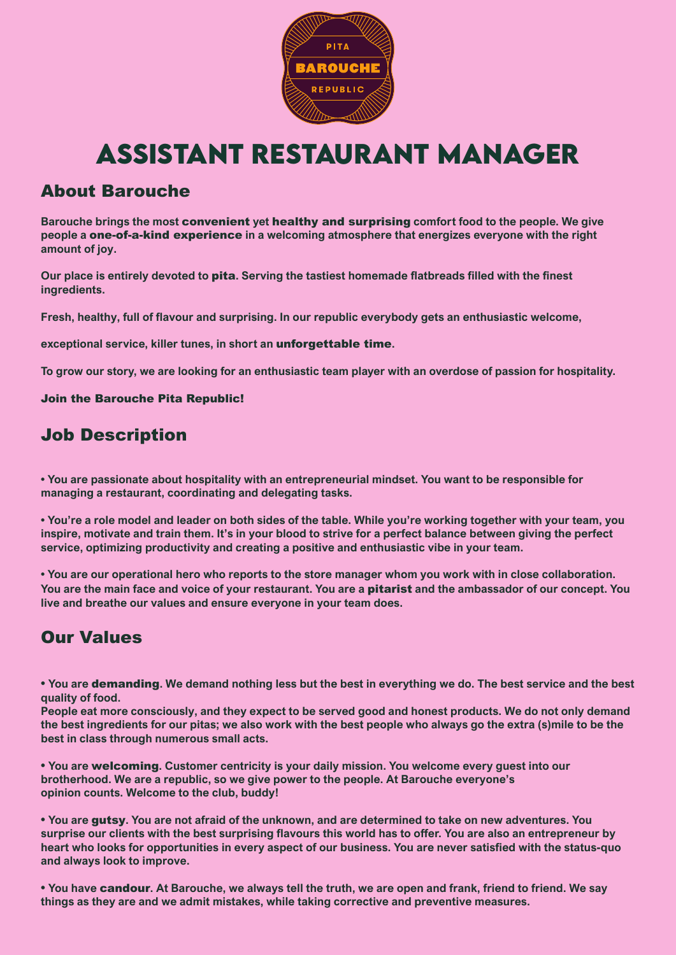

# **Assistant Restaurant Manager**

### About Barouche

**Barouche brings the most** convenient **yet** healthy and surprising **comfort food to the people. We give people a** one-of-a-kind experience **in a welcoming atmosphere that energizes everyone with the right amount of joy.**

**Our place is entirely devoted to** pita**. Serving the tastiest homemade flatbreads filled with the finest ingredients.**

**Fresh, healthy, full of flavour and surprising. In our republic everybody gets an enthusiastic welcome,**

**exceptional service, killer tunes, in short an** unforgettable time**.** 

**To grow our story, we are looking for an enthusiastic team player with an overdose of passion for hospitality.**

Join the Barouche Pita Republic!

## Job Description

**• You are passionate about hospitality with an entrepreneurial mindset. You want to be responsible for managing a restaurant, coordinating and delegating tasks.**

**• You're a role model and leader on both sides of the table. While you're working together with your team, you inspire, motivate and train them. It's in your blood to strive for a perfect balance between giving the perfect service, optimizing productivity and creating a positive and enthusiastic vibe in your team.**

**• You are our operational hero who reports to the store manager whom you work with in close collaboration. You are the main face and voice of your restaurant. You are a** pitarist **and the ambassador of our concept. You live and breathe our values and ensure everyone in your team does.**

# Our Values

**• You are** demanding**. We demand nothing less but the best in everything we do. The best service and the best quality of food.**

**People eat more consciously, and they expect to be served good and honest products. We do not only demand the best ingredients for our pitas; we also work with the best people who always go the extra (s)mile to be the best in class through numerous small acts.**

**• You are** welcoming**. Customer centricity is your daily mission. You welcome every guest into our brotherhood. We are a republic, so we give power to the people. At Barouche everyone's opinion counts. Welcome to the club, buddy!**

**• You are** gutsy**. You are not afraid of the unknown, and are determined to take on new adventures. You surprise our clients with the best surprising flavours this world has to offer. You are also an entrepreneur by heart who looks for opportunities in every aspect of our business. You are never satisfied with the status-quo and always look to improve.**

**• You have** candour**. At Barouche, we always tell the truth, we are open and frank, friend to friend. We say things as they are and we admit mistakes, while taking corrective and preventive measures.**